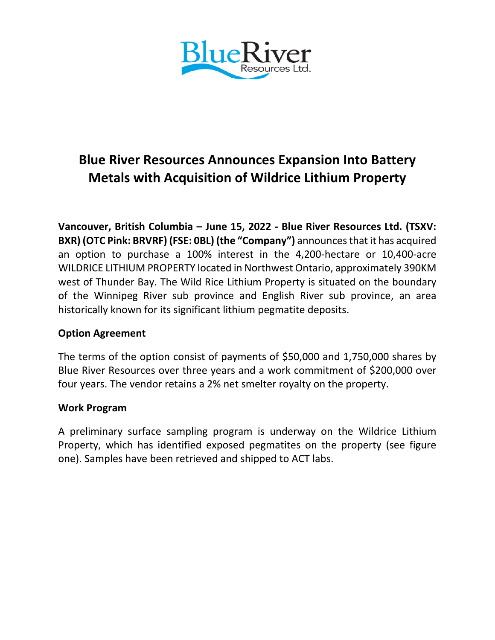

## **Blue River Resources Announces Expansion Into Battery Metals with Acquisition of Wildrice Lithium Property**

**Vancouver, British Columbia – June 15, 2022 - Blue River Resources Ltd. (TSXV: BXR) (OTC Pink: BRVRF) (FSE: 0BL) (the "Company")** announces that it has acquired an option to purchase a 100% interest in the 4,200-hectare or 10,400-acre WILDRICE LITHIUM PROPERTY located in Northwest Ontario, approximately 390KM west of Thunder Bay. The Wild Rice Lithium Property is situated on the boundary of the Winnipeg River sub province and English River sub province, an area historically known for its significant lithium pegmatite deposits.

## **Option Agreement**

The terms of the option consist of payments of \$50,000 and 1,750,000 shares by Blue River Resources over three years and a work commitment of \$200,000 over four years. The vendor retains a 2% net smelter royalty on the property.

## **Work Program**

A preliminary surface sampling program is underway on the Wildrice Lithium Property, which has identified exposed pegmatites on the property (see figure one). Samples have been retrieved and shipped to ACT labs.